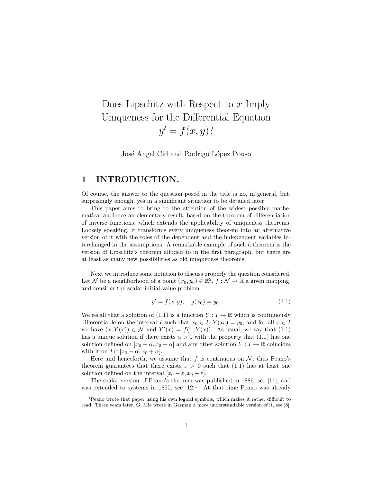# Does Lipschitz with Respect to  $x$  Imply Uniqueness for the Differential Equation  $y' = f(x, y)$ ?

José Ángel Cid and Rodrigo López Pouso

### 1 INTRODUCTION.

Of course, the answer to the question posed in the title is no, in general, but, surprisingly enough, yes in a significant situation to be detailed later.

This paper aims to bring to the attention of the widest possible mathematical audience an elementary result, based on the theorem of differentiation of inverse functions, which extends the applicability of uniqueness theorems. Loosely speaking, it transforms every uniqueness theorem into an alternative version of it with the roles of the dependent and the independent variables interchanged in the assumptions. A remarkable example of such a theorem is the version of Lipschitz's theorem alluded to in the first paragraph, but there are at least as many new possibilities as old uniqueness theorems.

Next we introduce some notation to discuss properly the question considered. Let N be a neighborhood of a point  $(x_0, y_0) \in \mathbb{R}^2$ ,  $f: \mathcal{N} \to \mathbb{R}$  a given mapping, and consider the scalar initial value problem

$$
y' = f(x, y), \quad y(x_0) = y_0.
$$
\n(1.1)

We recall that a solution of (1.1) is a function  $Y: I \to \mathbb{R}$  which is continuously differentiable on the interval I such that  $x_0 \in I$ ,  $Y(x_0) = y_0$ , and for all  $x \in I$ we have  $(x, Y(x)) \in \mathcal{N}$  and  $Y'(x) = f(x, Y(x))$ . As usual, we say that (1.1) has a unique solution if there exists  $\alpha > 0$  with the property that (1.1) has one solution defined on  $[x_0 - \alpha, x_0 + \alpha]$  and any other solution  $Y : I \to \mathbb{R}$  coincides with it on  $I \cap [x_0 - \alpha, x_0 + \alpha]$ .

Here and henceforth, we assume that f is continuous on  $\mathcal{N}$ ; thus Peano's theorem guarantees that there exists  $\varepsilon > 0$  such that (1.1) has at least one solution defined on the interval  $[x_0 - \varepsilon, x_0 + \varepsilon]$ .

The scalar version of Peano's theorem was published in 1886, see [11], and was extended to systems in 1890, see  $[12]$ <sup>1</sup>. At that time Peano was already

<sup>1</sup>Peano wrote that paper using his own logical symbols, which makes it rather difficult to read. Three years later, G. Mie wrote in German a more understandable version of it, see [8].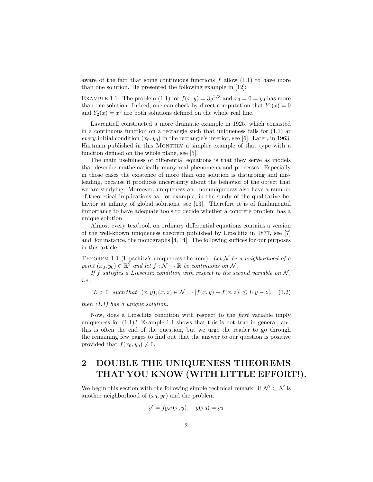aware of the fact that some continuous functions  $f$  allow  $(1.1)$  to have more than one solution. He presented the following example in [12]:

EXAMPLE 1.1. The problem (1.1) for  $f(x, y) = 3y^{2/3}$  and  $x_0 = 0 = y_0$  has more than one solution. Indeed, one can check by direct computation that  $Y_1(x) = 0$ and  $Y_2(x) = x^3$  are both solutions defined on the whole real line.

Lavrentieff constructed a more dramatic example in 1925, which consisted in a continuous function on a rectangle such that uniqueness fails for (1.1) at every initial condition  $(x_0, y_0)$  in the rectangle's interior, see [6]. Later, in 1963, Hartman published in this MONTHLY a simpler example of that type with a function defined on the whole plane, see [5].

The main usefulness of differential equations is that they serve as models that describe mathematically many real phenomena and processes. Especially in those cases the existence of more than one solution is disturbing and misleading, because it produces uncertainty about the behavior of the object that we are studying. Moreover, uniqueness and nonuniqueness also have a number of theoretical implications as, for example, in the study of the qualitative behavior at infinity of global solutions, see [13]. Therefore it is of fundamental importance to have adequate tools to decide whether a concrete problem has a unique solution.

Almost every textbook on ordinary differential equations contains a version of the well-known uniqueness theorem published by Lipschitz in 1877, see [7] and, for instance, the monographs [4, 14]. The following suffices for our purposes in this article:

THEOREM 1.1 (Lipschitz's uniqueness theorem). Let  $\mathcal N$  be a neighborhood of a point  $(x_0, y_0) \in \mathbb{R}^2$  and let  $f : \mathcal{N} \to \mathbb{R}$  be continuous on  $\mathcal{N}$ .

If f satisfies a Lipschitz condition with respect to the second variable on  $N$ , i.e.,

$$
\exists L > 0 \quad such \, that \quad (x, y), (x, z) \in \mathcal{N} \Rightarrow |f(x, y) - f(x, z)| \le L|y - z|, \quad (1.2)
$$

then (1.1) has a unique solution.

Now, does a Lipschitz condition with respect to the first variable imply uniqueness for  $(1.1)$ ? Example 1.1 shows that this is not true in general, and this is often the end of the question, but we urge the reader to go through the remaining few pages to find out that the answer to our question is positive provided that  $f(x_0, y_0) \neq 0$ .

## 2 DOUBLE THE UNIQUENESS THEOREMS THAT YOU KNOW (WITH LITTLE EFFORT!).

We begin this section with the following simple technical remark: if  $\mathcal{N}' \subset \mathcal{N}$  is another neighborhood of  $(x_0, y_0)$  and the problem

$$
y' = f_{|\mathcal{N}'}(x, y), \quad y(x_0) = y_0
$$

 $\mathfrak{p}$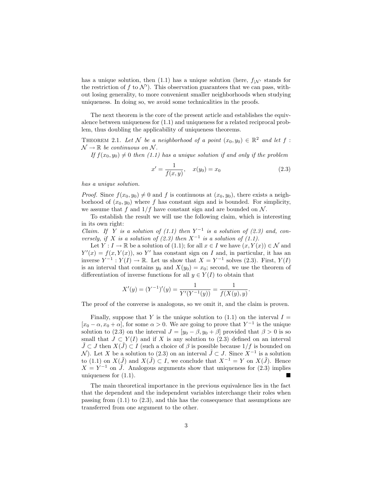has a unique solution, then (1.1) has a unique solution (here,  $f_{|\mathcal{N}'}$  stands for the restriction of f to  $\mathcal{N}'$ ). This observation guarantees that we can pass, without losing generality, to more convenient smaller neighborhoods when studying uniqueness. In doing so, we avoid some technicalities in the proofs.

The next theorem is the core of the present article and establishes the equivalence between uniqueness for (1.1) and uniqueness for a related reciprocal problem, thus doubling the applicability of uniqueness theorems.

THEOREM 2.1. Let N be a neighborhood of a point  $(x_0, y_0) \in \mathbb{R}^2$  and let f:  $\mathcal{N} \to \mathbb{R}$  be continuous on  $\mathcal{N}$ .

If  $f(x_0, y_0) \neq 0$  then (1.1) has a unique solution if and only if the problem

$$
x' = \frac{1}{f(x, y)}, \quad x(y_0) = x_0 \tag{2.3}
$$

has a unique solution.

*Proof.* Since  $f(x_0, y_0) \neq 0$  and f is continuous at  $(x_0, y_0)$ , there exists a neighborhood of  $(x_0, y_0)$  where f has constant sign and is bounded. For simplicity, we assume that f and  $1/f$  have constant sign and are bounded on N.

To establish the result we will use the following claim, which is interesting in its own right:

Claim. If Y is a solution of  $(1.1)$  then Y<sup>-1</sup> is a solution of  $(2.3)$  and, conversely, if X is a solution of  $(2.3)$  then  $X^{-1}$  is a solution of  $(1.1)$ .

Let  $Y: I \to \mathbb{R}$  be a solution of (1.1); for all  $x \in I$  we have  $(x, Y(x)) \in \mathcal{N}$  and  $Y'(x) = f(x, Y(x))$ , so Y' has constant sign on I and, in particular, it has an inverse  $Y^{-1}: Y(I) \to \mathbb{R}$ . Let us show that  $X = Y^{-1}$  solves (2.3). First,  $Y(I)$ is an interval that contains  $y_0$  and  $X(y_0) = x_0$ ; second, we use the theorem of differentiation of inverse functions for all  $y \in Y(I)$  to obtain that

$$
X'(y) = (Y^{-1})'(y) = \frac{1}{Y'(Y^{-1}(y))} = \frac{1}{f(X(y), y)}.
$$

The proof of the converse is analogous, so we omit it, and the claim is proven.

Finally, suppose that Y is the unique solution to  $(1.1)$  on the interval  $I =$  $[x_0 - \alpha, x_0 + \alpha]$ , for some  $\alpha > 0$ . We are going to prove that  $Y^{-1}$  is the unique solution to (2.3) on the interval  $J = [y_0 - \beta, y_0 + \beta]$  provided that  $\beta > 0$  is so small that  $J \subset Y(I)$  and if X is any solution to (2.3) defined on an interval  $\tilde{J} \subset J$  then  $X(\tilde{J}) \subset I$  (such a choice of  $\beta$  is possible because  $1/f$  is bounded on N). Let X be a solution to (2.3) on an interval  $\tilde{J} \subset J$ . Since  $X^{-1}$  is a solution to (1.1) on  $X(\tilde{J})$  and  $X(\tilde{J}) \subset I$ , we conclude that  $X^{-1} = Y$  on  $X(\tilde{J})$ . Hence  $X = Y^{-1}$  on  $\tilde{J}$ . Analogous arguments show that uniqueness for (2.3) implies uniqueness for  $(1.1)$ .

The main theoretical importance in the previous equivalence lies in the fact that the dependent and the independent variables interchange their roles when passing from (1.1) to (2.3), and this has the consequence that assumptions are transferred from one argument to the other.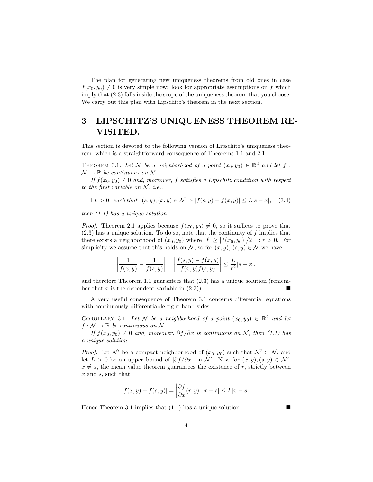The plan for generating new uniqueness theorems from old ones in case  $f(x_0, y_0) \neq 0$  is very simple now: look for appropriate assumptions on f which imply that (2.3) falls inside the scope of the uniqueness theorem that you choose. We carry out this plan with Lipschitz's theorem in the next section.

## 3 LIPSCHITZ'S UNIQUENESS THEOREM RE-VISITED.

This section is devoted to the following version of Lipschitz's uniqueness theorem, which is a straightforward consequence of Theorems 1.1 and 2.1.

THEOREM 3.1. Let N be a neighborhood of a point  $(x_0, y_0) \in \mathbb{R}^2$  and let f:  $\mathcal{N} \to \mathbb{R}$  be continuous on  $\mathcal{N}$ .

If  $f(x_0, y_0) \neq 0$  and, moreover, f satisfies a Lipschitz condition with respect to the first variable on  $N$ , *i.e.*,

$$
\exists L > 0 \quad such \, that \quad (s, y), (x, y) \in \mathcal{N} \Rightarrow |f(s, y) - f(x, y)| \le L|s - x|, \quad (3.4)
$$

then (1.1) has a unique solution.

*Proof.* Theorem 2.1 applies because  $f(x_0, y_0) \neq 0$ , so it suffices to prove that  $(2.3)$  has a unique solution. To do so, note that the continuity of f implies that there exists a neighborhood of  $(x_0, y_0)$  where  $|f| \geq |f(x_0, y_0)|/2 =: r > 0$ . For simplicity we assume that this holds on N, so for  $(x, y)$ ,  $(s, y) \in \mathcal{N}$  we have

$$
\left| \frac{1}{f(x,y)} - \frac{1}{f(s,y)} \right| = \left| \frac{f(s,y) - f(x,y)}{f(x,y)f(s,y)} \right| \le \frac{L}{r^2} |s-x|,
$$

and therefore Theorem 1.1 guarantees that (2.3) has a unique solution (remember that  $x$  is the dependent variable in  $(2.3)$ ).

A very useful consequence of Theorem 3.1 concerns differential equations with continuously differentiable right-hand sides.

COROLLARY 3.1. Let N be a neighborhood of a point  $(x_0, y_0) \in \mathbb{R}^2$  and let  $f: \mathcal{N} \to \mathbb{R}$  be continuous on  $\mathcal{N}$ .

If  $f(x_0, y_0) \neq 0$  and, moreover,  $\partial f / \partial x$  is continuous on N, then (1.1) has a unique solution.

*Proof.* Let N' be a compact neighborhood of  $(x_0, y_0)$  such that  $\mathcal{N}' \subset \mathcal{N}$ , and let  $L > 0$  be an upper bound of  $|\partial f/\partial x|$  on N'. Now for  $(x, y), (s, y) \in \mathcal{N}'$ ,  $x \neq s$ , the mean value theorem guarantees the existence of r, strictly between x and s, such that

$$
|f(x,y) - f(s,y)| = \left| \frac{\partial f}{\partial x}(r,y) \right| |x - s| \le L|x - s|.
$$

Hence Theorem 3.1 implies that  $(1.1)$  has a unique solution.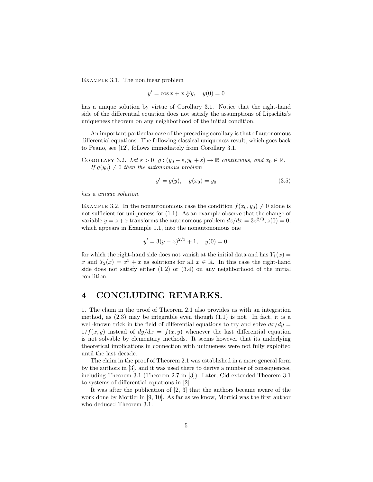Example 3.1. The nonlinear problem

$$
y' = \cos x + x \sqrt[3]{y}, \quad y(0) = 0
$$

has a unique solution by virtue of Corollary 3.1. Notice that the right-hand side of the differential equation does not satisfy the assumptions of Lipschitz's uniqueness theorem on any neighborhood of the initial condition.

An important particular case of the preceding corollary is that of autonomous differential equations. The following classical uniqueness result, which goes back to Peano, see [12], follows immediately from Corollary 3.1.

COROLLARY 3.2. Let  $\varepsilon > 0$ ,  $g : (y_0 - \varepsilon, y_0 + \varepsilon) \to \mathbb{R}$  continuous, and  $x_0 \in \mathbb{R}$ . If  $g(y_0) \neq 0$  then the autonomous problem

$$
y' = g(y), \quad y(x_0) = y_0 \tag{3.5}
$$

has a unique solution.

EXAMPLE 3.2. In the nonautonomous case the condition  $f(x_0, y_0) \neq 0$  alone is not sufficient for uniqueness for (1.1). As an example observe that the change of variable  $y = z + x$  transforms the autonomous problem  $dz/dx = 3z^{2/3}, z(0) = 0$ , which appears in Example 1.1, into the nonautonomous one

$$
y' = 3(y - x)^{2/3} + 1, \quad y(0) = 0,
$$

for which the right-hand side does not vanish at the initial data and has  $Y_1(x) =$ x and  $Y_2(x) = x^3 + x$  as solutions for all  $x \in \mathbb{R}$ . In this case the right-hand side does not satisfy either (1.2) or (3.4) on any neighborhood of the initial condition.

### 4 CONCLUDING REMARKS.

1. The claim in the proof of Theorem 2.1 also provides us with an integration method, as (2.3) may be integrable even though (1.1) is not. In fact, it is a well-known trick in the field of differential equations to try and solve  $dx/dy =$  $1/f(x, y)$  instead of  $dy/dx = f(x, y)$  whenever the last differential equation is not solvable by elementary methods. It seems however that its underlying theoretical implications in connection with uniqueness were not fully exploited until the last decade.

The claim in the proof of Theorem 2.1 was established in a more general form by the authors in [3], and it was used there to derive a number of consequences, including Theorem 3.1 (Theorem 2.7 in [3]). Later, Cid extended Theorem 3.1 to systems of differential equations in [2].

It was after the publication of [2, 3] that the authors became aware of the work done by Mortici in [9, 10]. As far as we know, Mortici was the first author who deduced Theorem 3.1.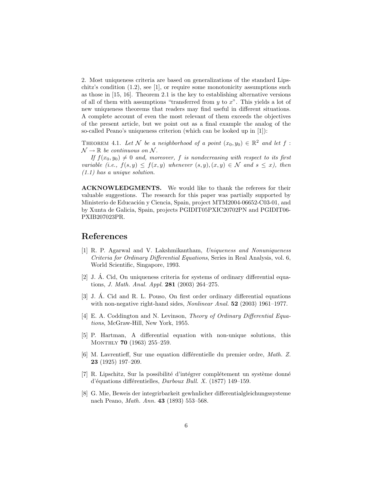2. Most uniqueness criteria are based on generalizations of the standard Lipschitz's condition (1.2), see [1], or require some monotonicity assumptions such as those in [15, 16]. Theorem 2.1 is the key to establishing alternative versions of all of them with assumptions "transferred from  $y$  to  $x$ ". This yields a lot of new uniqueness theorems that readers may find useful in different situations. A complete account of even the most relevant of them exceeds the objectives of the present article, but we point out as a final example the analog of the so-called Peano's uniqueness criterion (which can be looked up in [1]):

THEOREM 4.1. Let N be a neighborhood of a point  $(x_0, y_0) \in \mathbb{R}^2$  and let f:  $\mathcal{N} \to \mathbb{R}$  be continuous on  $\mathcal{N}$ .

If  $f(x_0, y_0) \neq 0$  and, moreover, f is nondecreasing with respect to its first variable (i.e.,  $f(s, y) \leq f(x, y)$  whenever  $(s, y), (x, y) \in \mathcal{N}$  and  $s \leq x$ ), then (1.1) has a unique solution.

ACKNOWLEDGMENTS. We would like to thank the referees for their valuable suggestions. The research for this paper was partially supported by Ministerio de Educación y Ciencia, Spain, project MTM2004-06652-C03-01, and by Xunta de Galicia, Spain, projects PGIDIT05PXIC20702PN and PGIDIT06- PXIB207023PR.

#### References

- [1] R. P. Agarwal and V. Lakshmikantham, Uniqueness and Nonuniqueness Criteria for Ordinary Differential Equations, Series in Real Analysis, vol. 6, World Scientific, Singapore, 1993.
- [2] J. A. Cid, On uniqueness criteria for systems of ordinary differential equa- ´ tions, J. Math. Anal. Appl. 281 (2003) 264–275.
- [3] J. A. Cid and R. L. Pouso, On first order ordinary differential equations ´ with non-negative right-hand sides, *Nonlinear Anal.* **52** (2003) 1961–1977.
- [4] E. A. Coddington and N. Levinson, *Theory of Ordinary Differential Equa*tions, McGraw-Hill, New York, 1955.
- [5] P. Hartman, A differential equation with non-unique solutions, this MONTHLY **70** (1963) 255-259.
- [6] M. Lavrentieff, Sur une equation différentielle du premier ordre, Math. Z. 23 (1925) 197–209.
- $[7]$  R. Lipschitz, Sur la possibilité d'intégrer complétement un système donné d'équations différentielles, Darboux Bull. X. (1877) 149-159.
- [8] G. Mie, Beweis der integrirbarkeit gewhnlicher differentialgleichungssysteme nach Peano, Math. Ann. 43 (1893) 553–568.